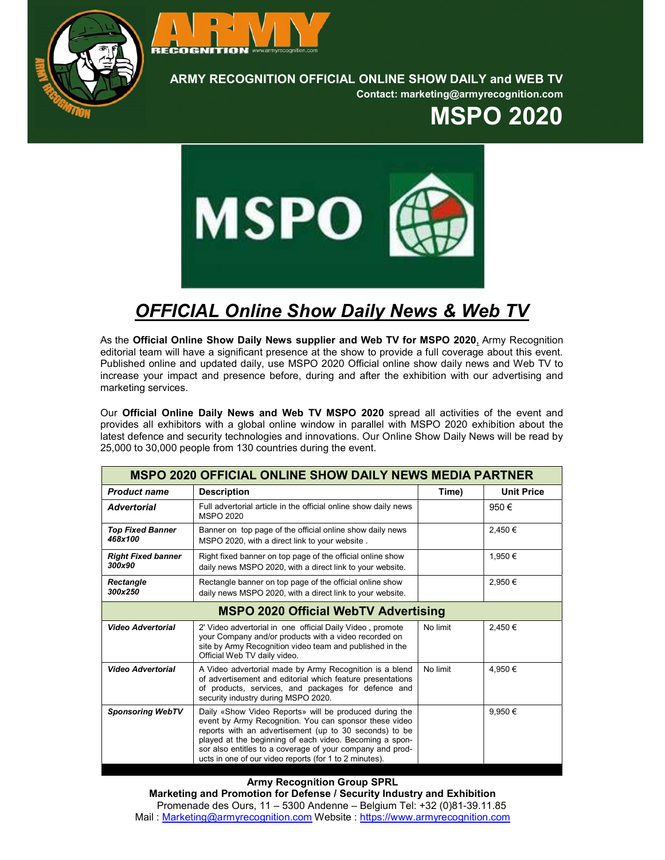



ARMY RECOGNITION OFFICIAL ONLINE SHOW DAILY and WEB TV

Contact: marketing@armyrecognition.com

## MSPO 2020



## OFFICIAL Online Show Daily News & Web TV

As the Official Online Show Daily News supplier and Web TV for MSPO 2020, Army Recognition editorial team will have a significant presence at the show to provide a full coverage about this event. Published online and updated daily, use MSPO 2020 Official online show daily news and Web TV to increase your impact and presence before, during and after the exhibition with our advertising and marketing services.

Our Official Online Daily News and Web TV MSPO 2020 spread all activities of the event and provides all exhibitors with a global online window in parallel with MSPO 2020 exhibition about the latest defence and security technologies and innovations. Our Online Show Daily News will be read by 25,000 to 30,000 people from 130 countries during the event.

| <b>MSPO 2020 OFFICIAL ONLINE SHOW DAILY NEWS MEDIA PARTNER</b> |                                                                                                                                                                                                                                                                                                                                                              |          |                   |  |
|----------------------------------------------------------------|--------------------------------------------------------------------------------------------------------------------------------------------------------------------------------------------------------------------------------------------------------------------------------------------------------------------------------------------------------------|----------|-------------------|--|
| <b>Product name</b>                                            | <b>Description</b>                                                                                                                                                                                                                                                                                                                                           | Time)    | <b>Unit Price</b> |  |
| <b>Advertorial</b>                                             | Full advertorial article in the official online show daily news<br>MSPO 2020                                                                                                                                                                                                                                                                                 |          | 950€              |  |
| <b>Top Fixed Banner</b><br>468x100                             | Banner on top page of the official online show daily news<br>MSPO 2020, with a direct link to your website.                                                                                                                                                                                                                                                  |          | 2.450 €           |  |
| <b>Right Fixed banner</b><br>300x90                            | Right fixed banner on top page of the official online show<br>daily news MSPO 2020, with a direct link to your website.                                                                                                                                                                                                                                      |          | 1.950 €           |  |
| <b>Rectangle</b><br>300x250                                    | Rectangle banner on top page of the official online show<br>daily news MSPO 2020, with a direct link to your website.                                                                                                                                                                                                                                        |          | 2.950€            |  |
| <b>MSPO 2020 Official WebTV Advertising</b>                    |                                                                                                                                                                                                                                                                                                                                                              |          |                   |  |
| <b>Video Advertorial</b>                                       | 2' Video advertorial in one official Daily Video, promote<br>your Company and/or products with a video recorded on<br>site by Army Recognition video team and published in the<br>Official Web TV daily video.                                                                                                                                               | No limit | 2.450€            |  |
| <b>Video Advertorial</b>                                       | A Video advertorial made by Army Recognition is a blend<br>of advertisement and editorial which feature presentations<br>of products, services, and packages for defence and<br>security industry during MSPO 2020.                                                                                                                                          | No limit | 4.950€            |  |
| <b>Sponsoring WebTV</b>                                        | Daily «Show Video Reports» will be produced during the<br>event by Army Recognition. You can sponsor these video<br>reports with an advertisement (up to 30 seconds) to be<br>played at the beginning of each video. Becoming a spon-<br>sor also entitles to a coverage of your company and prod-<br>ucts in one of our video reports (for 1 to 2 minutes). |          | 9,950€            |  |

Army Recognition Group SPRL Marketing and Promotion for Defense / Security Industry and Exhibition Promenade des Ours, 11 – 5300 Andenne – Belgium Tel: +32 (0)81-39.11.85 Mail : Marketing@armyrecognition.com Website : https://www.armyrecognition.com